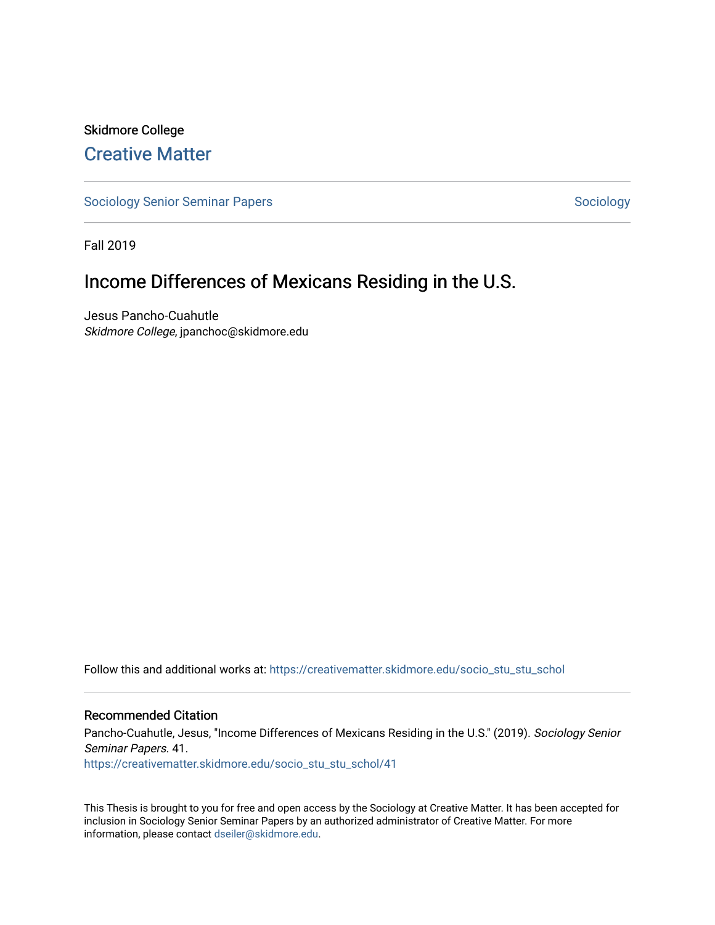# Skidmore College [Creative Matter](https://creativematter.skidmore.edu/)

[Sociology Senior Seminar Papers](https://creativematter.skidmore.edu/socio_stu_stu_schol) [Sociology](https://creativematter.skidmore.edu/stu_schol_socio_stu) Sociology Sociology

Fall 2019

# Income Differences of Mexicans Residing in the U.S.

Jesus Pancho-Cuahutle Skidmore College, jpanchoc@skidmore.edu

Follow this and additional works at: [https://creativematter.skidmore.edu/socio\\_stu\\_stu\\_schol](https://creativematter.skidmore.edu/socio_stu_stu_schol?utm_source=creativematter.skidmore.edu%2Fsocio_stu_stu_schol%2F41&utm_medium=PDF&utm_campaign=PDFCoverPages) 

#### Recommended Citation

Pancho-Cuahutle, Jesus, "Income Differences of Mexicans Residing in the U.S." (2019). Sociology Senior Seminar Papers. 41. [https://creativematter.skidmore.edu/socio\\_stu\\_stu\\_schol/41](https://creativematter.skidmore.edu/socio_stu_stu_schol/41?utm_source=creativematter.skidmore.edu%2Fsocio_stu_stu_schol%2F41&utm_medium=PDF&utm_campaign=PDFCoverPages)

This Thesis is brought to you for free and open access by the Sociology at Creative Matter. It has been accepted for inclusion in Sociology Senior Seminar Papers by an authorized administrator of Creative Matter. For more information, please contact [dseiler@skidmore.edu.](mailto:dseiler@skidmore.edu)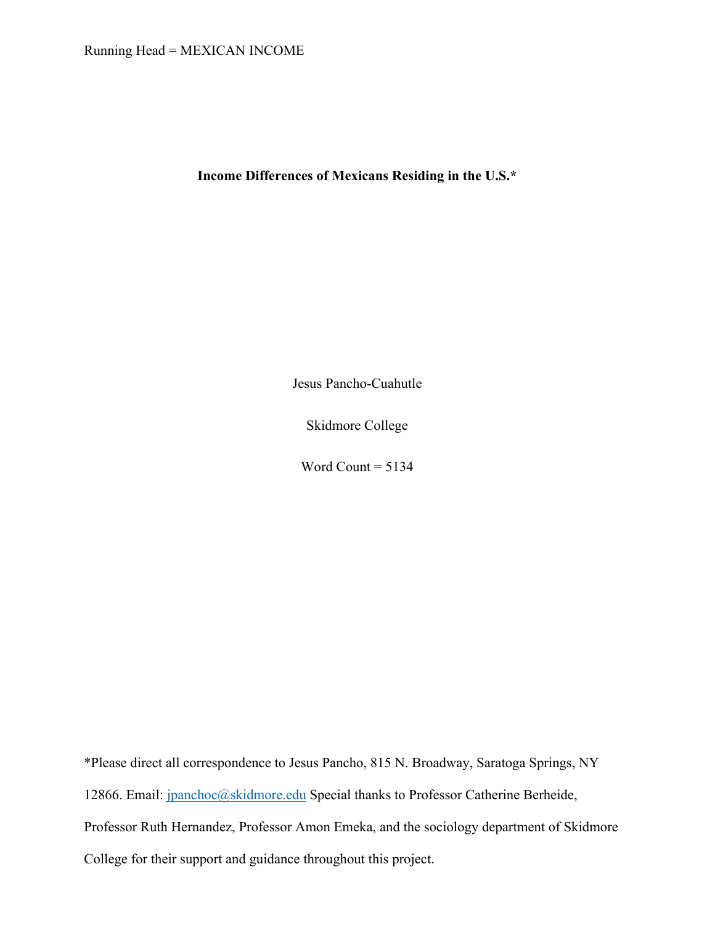## Running Head = MEXICAN INCOME

**Income Differences of Mexicans Residing in the U.S.\***

Jesus Pancho-Cuahutle

Skidmore College

Word Count  $= 5134$ 

\*Please direct all correspondence to Jesus Pancho, 815 N. Broadway, Saratoga Springs, NY 12866. Email: jpanchoc@skidmore.edu Special thanks to Professor Catherine Berheide, Professor Ruth Hernandez, Professor Amon Emeka, and the sociology department of Skidmore College for their support and guidance throughout this project.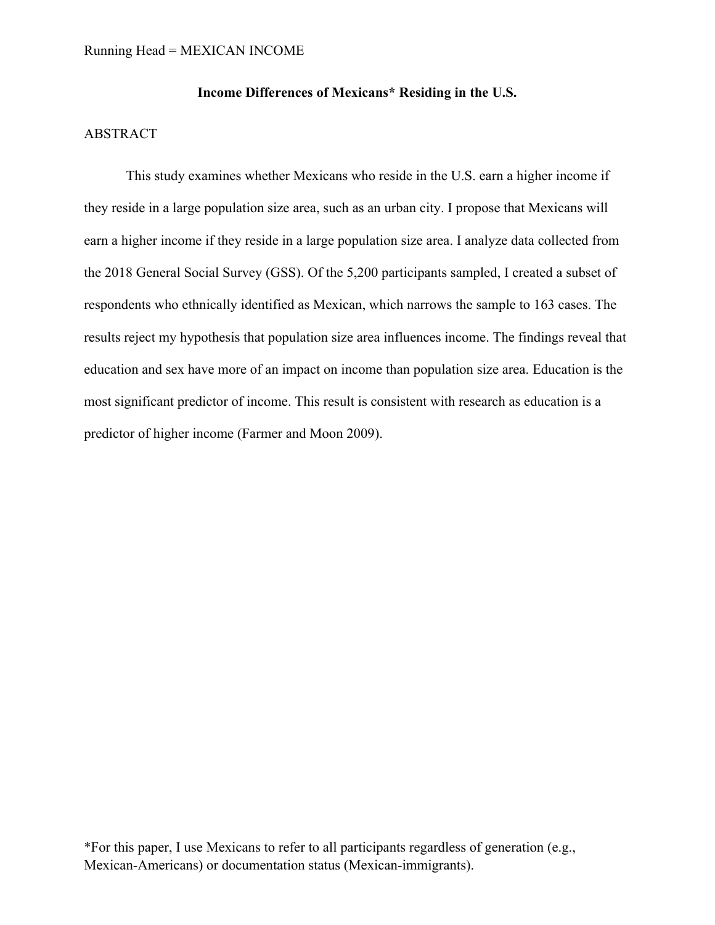# **Income Differences of Mexicans\* Residing in the U.S.**

#### ABSTRACT

This study examines whether Mexicans who reside in the U.S. earn a higher income if they reside in a large population size area, such as an urban city. I propose that Mexicans will earn a higher income if they reside in a large population size area. I analyze data collected from the 2018 General Social Survey (GSS). Of the 5,200 participants sampled, I created a subset of respondents who ethnically identified as Mexican, which narrows the sample to 163 cases. The results reject my hypothesis that population size area influences income. The findings reveal that education and sex have more of an impact on income than population size area. Education is the most significant predictor of income. This result is consistent with research as education is a predictor of higher income (Farmer and Moon 2009).

\*For this paper, I use Mexicans to refer to all participants regardless of generation (e.g., Mexican-Americans) or documentation status (Mexican-immigrants).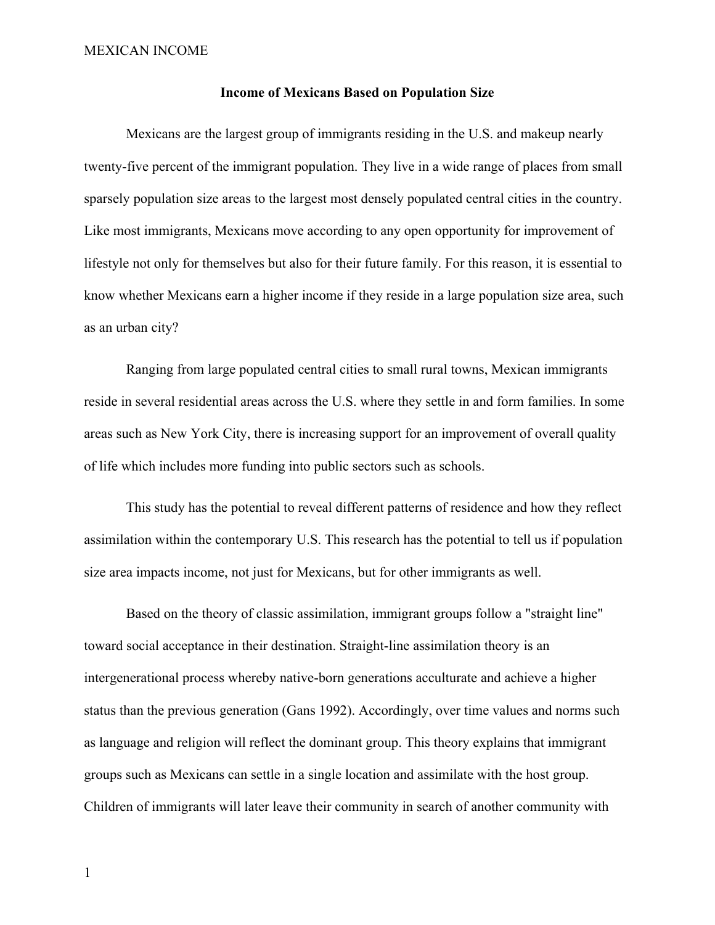#### **Income of Mexicans Based on Population Size**

Mexicans are the largest group of immigrants residing in the U.S. and makeup nearly twenty-five percent of the immigrant population. They live in a wide range of places from small sparsely population size areas to the largest most densely populated central cities in the country. Like most immigrants, Mexicans move according to any open opportunity for improvement of lifestyle not only for themselves but also for their future family. For this reason, it is essential to know whether Mexicans earn a higher income if they reside in a large population size area, such as an urban city?

Ranging from large populated central cities to small rural towns, Mexican immigrants reside in several residential areas across the U.S. where they settle in and form families. In some areas such as New York City, there is increasing support for an improvement of overall quality of life which includes more funding into public sectors such as schools.

This study has the potential to reveal different patterns of residence and how they reflect assimilation within the contemporary U.S. This research has the potential to tell us if population size area impacts income, not just for Mexicans, but for other immigrants as well.

Based on the theory of classic assimilation, immigrant groups follow a "straight line" toward social acceptance in their destination. Straight-line assimilation theory is an intergenerational process whereby native-born generations acculturate and achieve a higher status than the previous generation (Gans 1992). Accordingly, over time values and norms such as language and religion will reflect the dominant group. This theory explains that immigrant groups such as Mexicans can settle in a single location and assimilate with the host group. Children of immigrants will later leave their community in search of another community with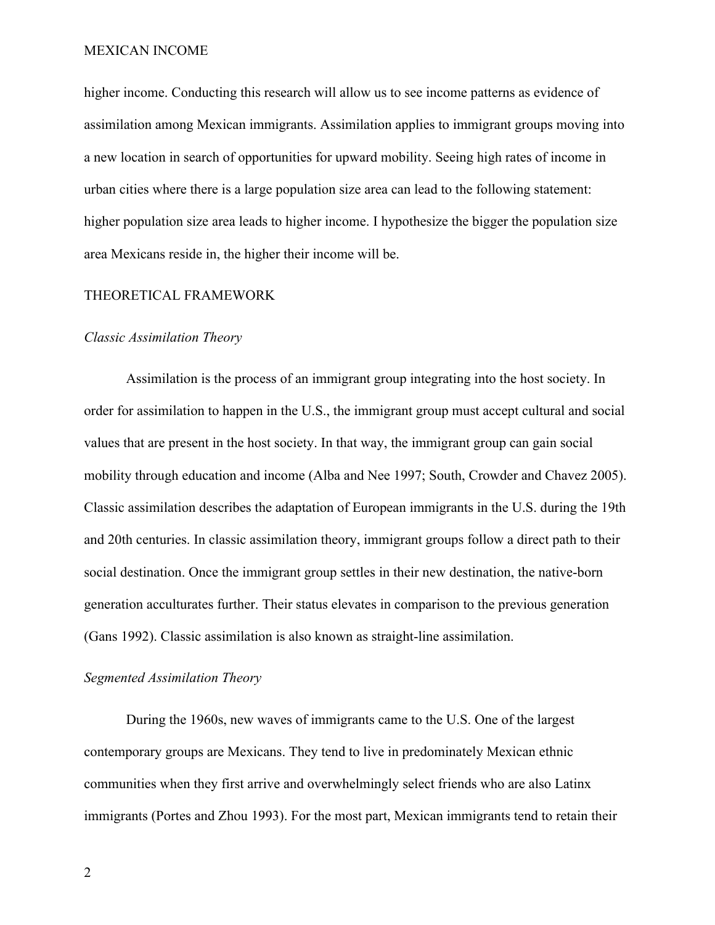higher income. Conducting this research will allow us to see income patterns as evidence of assimilation among Mexican immigrants. Assimilation applies to immigrant groups moving into a new location in search of opportunities for upward mobility. Seeing high rates of income in urban cities where there is a large population size area can lead to the following statement: higher population size area leads to higher income. I hypothesize the bigger the population size area Mexicans reside in, the higher their income will be.

#### THEORETICAL FRAMEWORK

#### *Classic Assimilation Theory*

Assimilation is the process of an immigrant group integrating into the host society. In order for assimilation to happen in the U.S., the immigrant group must accept cultural and social values that are present in the host society. In that way, the immigrant group can gain social mobility through education and income (Alba and Nee 1997; South, Crowder and Chavez 2005). Classic assimilation describes the adaptation of European immigrants in the U.S. during the 19th and 20th centuries. In classic assimilation theory, immigrant groups follow a direct path to their social destination. Once the immigrant group settles in their new destination, the native-born generation acculturates further. Their status elevates in comparison to the previous generation (Gans 1992). Classic assimilation is also known as straight-line assimilation.

## *Segmented Assimilation Theory*

During the 1960s, new waves of immigrants came to the U.S. One of the largest contemporary groups are Mexicans. They tend to live in predominately Mexican ethnic communities when they first arrive and overwhelmingly select friends who are also Latinx immigrants (Portes and Zhou 1993). For the most part, Mexican immigrants tend to retain their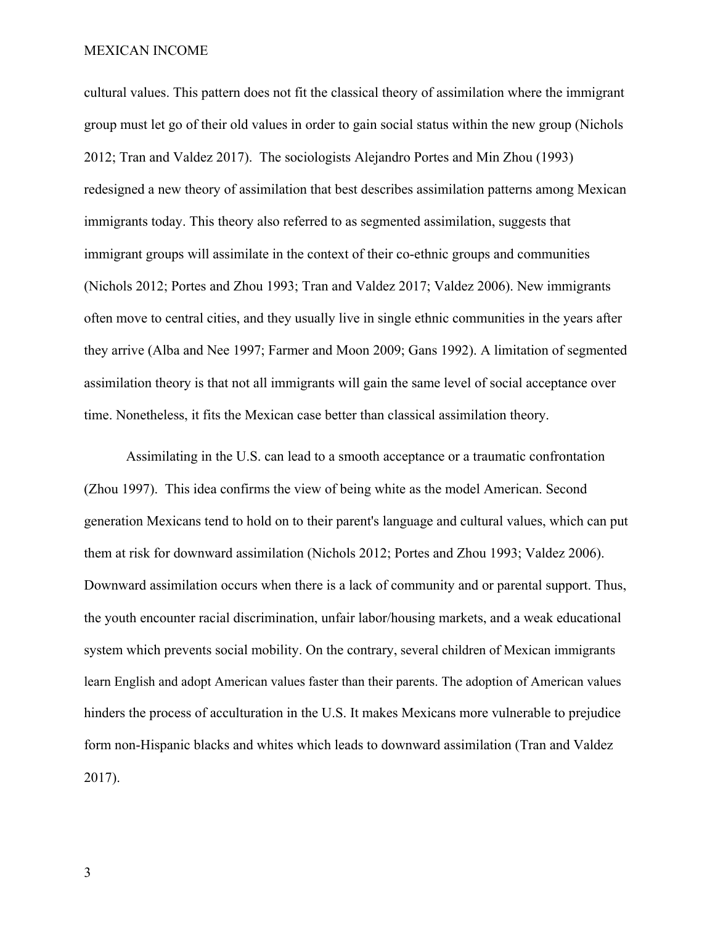cultural values. This pattern does not fit the classical theory of assimilation where the immigrant group must let go of their old values in order to gain social status within the new group (Nichols 2012; Tran and Valdez 2017). The sociologists Alejandro Portes and Min Zhou (1993) redesigned a new theory of assimilation that best describes assimilation patterns among Mexican immigrants today. This theory also referred to as segmented assimilation, suggests that immigrant groups will assimilate in the context of their co-ethnic groups and communities (Nichols 2012; Portes and Zhou 1993; Tran and Valdez 2017; Valdez 2006). New immigrants often move to central cities, and they usually live in single ethnic communities in the years after they arrive (Alba and Nee 1997; Farmer and Moon 2009; Gans 1992). A limitation of segmented assimilation theory is that not all immigrants will gain the same level of social acceptance over time. Nonetheless, it fits the Mexican case better than classical assimilation theory.

Assimilating in the U.S. can lead to a smooth acceptance or a traumatic confrontation (Zhou 1997). This idea confirms the view of being white as the model American. Second generation Mexicans tend to hold on to their parent's language and cultural values, which can put them at risk for downward assimilation (Nichols 2012; Portes and Zhou 1993; Valdez 2006). Downward assimilation occurs when there is a lack of community and or parental support. Thus, the youth encounter racial discrimination, unfair labor/housing markets, and a weak educational system which prevents social mobility. On the contrary, several children of Mexican immigrants learn English and adopt American values faster than their parents. The adoption of American values hinders the process of acculturation in the U.S. It makes Mexicans more vulnerable to prejudice form non-Hispanic blacks and whites which leads to downward assimilation (Tran and Valdez 2017).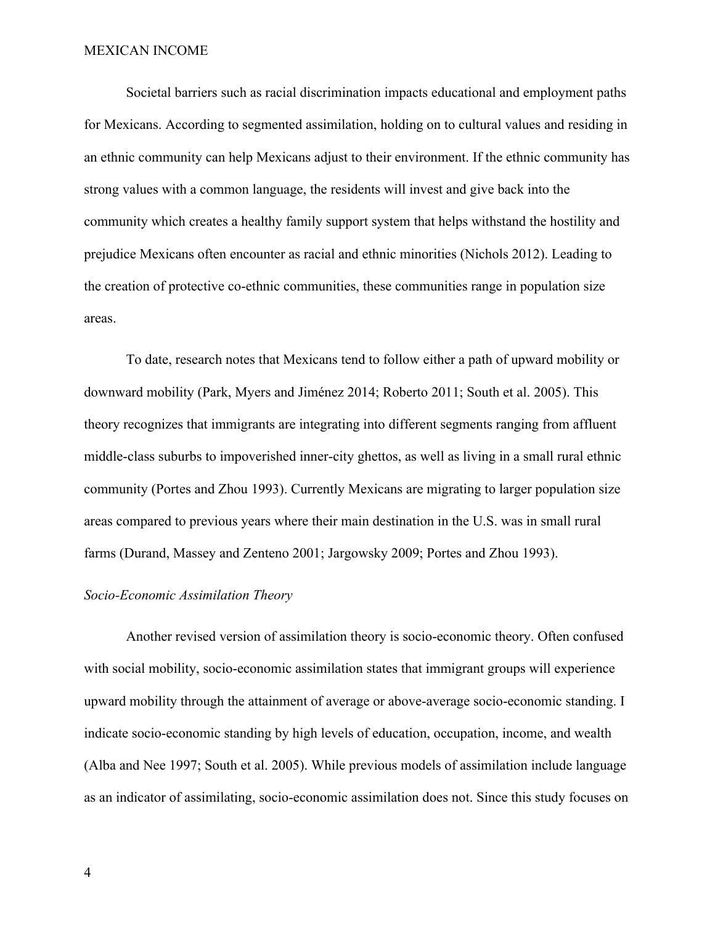Societal barriers such as racial discrimination impacts educational and employment paths for Mexicans. According to segmented assimilation, holding on to cultural values and residing in an ethnic community can help Mexicans adjust to their environment. If the ethnic community has strong values with a common language, the residents will invest and give back into the community which creates a healthy family support system that helps withstand the hostility and prejudice Mexicans often encounter as racial and ethnic minorities (Nichols 2012). Leading to the creation of protective co-ethnic communities, these communities range in population size areas.

To date, research notes that Mexicans tend to follow either a path of upward mobility or downward mobility (Park, Myers and Jiménez 2014; Roberto 2011; South et al. 2005). This theory recognizes that immigrants are integrating into different segments ranging from affluent middle-class suburbs to impoverished inner-city ghettos, as well as living in a small rural ethnic community (Portes and Zhou 1993). Currently Mexicans are migrating to larger population size areas compared to previous years where their main destination in the U.S. was in small rural farms (Durand, Massey and Zenteno 2001; Jargowsky 2009; Portes and Zhou 1993).

## *Socio-Economic Assimilation Theory*

Another revised version of assimilation theory is socio-economic theory. Often confused with social mobility, socio-economic assimilation states that immigrant groups will experience upward mobility through the attainment of average or above-average socio-economic standing. I indicate socio-economic standing by high levels of education, occupation, income, and wealth (Alba and Nee 1997; South et al. 2005). While previous models of assimilation include language as an indicator of assimilating, socio-economic assimilation does not. Since this study focuses on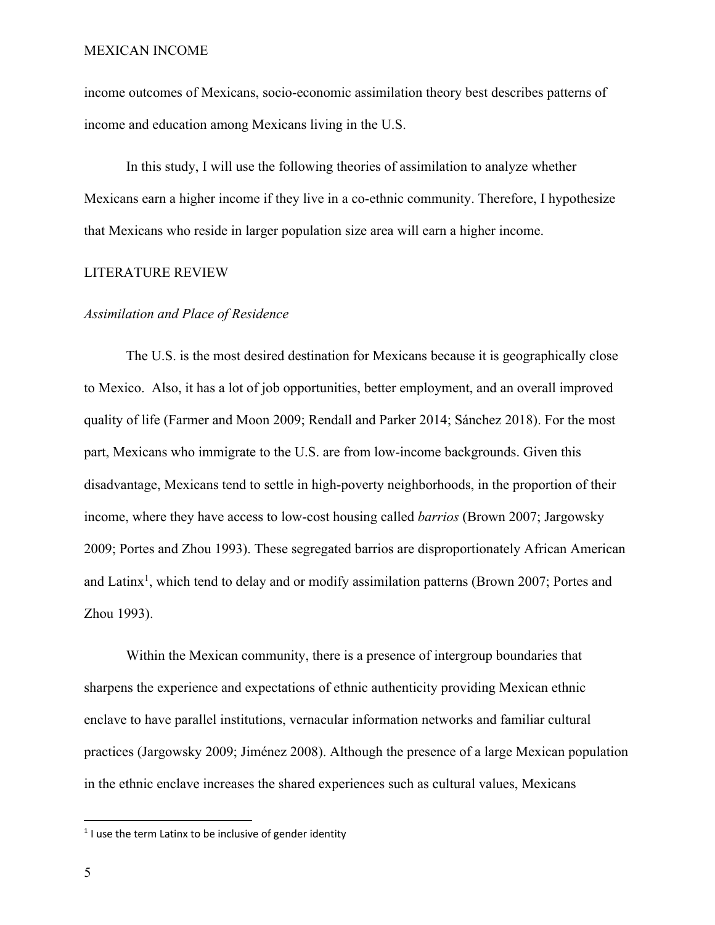income outcomes of Mexicans, socio-economic assimilation theory best describes patterns of income and education among Mexicans living in the U.S.

In this study, I will use the following theories of assimilation to analyze whether Mexicans earn a higher income if they live in a co-ethnic community. Therefore, I hypothesize that Mexicans who reside in larger population size area will earn a higher income.

## LITERATURE REVIEW

#### *Assimilation and Place of Residence*

The U.S. is the most desired destination for Mexicans because it is geographically close to Mexico. Also, it has a lot of job opportunities, better employment, and an overall improved quality of life (Farmer and Moon 2009; Rendall and Parker 2014; Sánchez 2018). For the most part, Mexicans who immigrate to the U.S. are from low-income backgrounds. Given this disadvantage, Mexicans tend to settle in high-poverty neighborhoods, in the proportion of their income, where they have access to low-cost housing called *barrios* (Brown 2007; Jargowsky 2009; Portes and Zhou 1993). These segregated barrios are disproportionately African American and Latinx<sup>1</sup>, which tend to delay and or modify assimilation patterns (Brown 2007; Portes and Zhou 1993).

Within the Mexican community, there is a presence of intergroup boundaries that sharpens the experience and expectations of ethnic authenticity providing Mexican ethnic enclave to have parallel institutions, vernacular information networks and familiar cultural practices (Jargowsky 2009; Jiménez 2008). Although the presence of a large Mexican population in the ethnic enclave increases the shared experiences such as cultural values, Mexicans

 $1$  I use the term Latinx to be inclusive of gender identity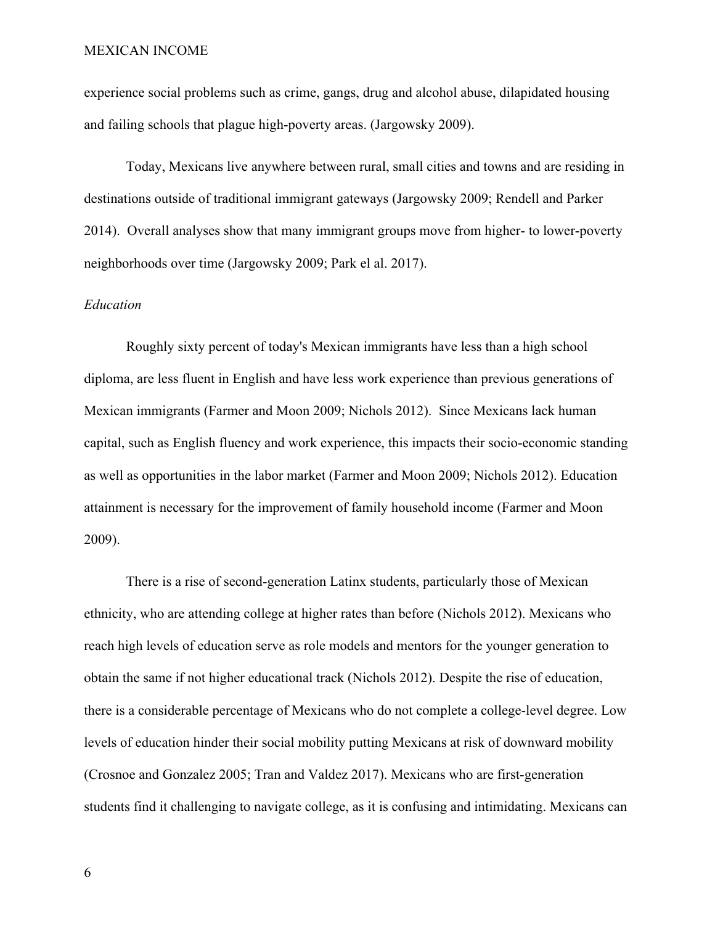experience social problems such as crime, gangs, drug and alcohol abuse, dilapidated housing and failing schools that plague high-poverty areas. (Jargowsky 2009).

Today, Mexicans live anywhere between rural, small cities and towns and are residing in destinations outside of traditional immigrant gateways (Jargowsky 2009; Rendell and Parker 2014). Overall analyses show that many immigrant groups move from higher- to lower-poverty neighborhoods over time (Jargowsky 2009; Park el al. 2017).

#### *Education*

Roughly sixty percent of today's Mexican immigrants have less than a high school diploma, are less fluent in English and have less work experience than previous generations of Mexican immigrants (Farmer and Moon 2009; Nichols 2012). Since Mexicans lack human capital, such as English fluency and work experience, this impacts their socio-economic standing as well as opportunities in the labor market (Farmer and Moon 2009; Nichols 2012). Education attainment is necessary for the improvement of family household income (Farmer and Moon 2009).

There is a rise of second-generation Latinx students, particularly those of Mexican ethnicity, who are attending college at higher rates than before (Nichols 2012). Mexicans who reach high levels of education serve as role models and mentors for the younger generation to obtain the same if not higher educational track (Nichols 2012). Despite the rise of education, there is a considerable percentage of Mexicans who do not complete a college-level degree. Low levels of education hinder their social mobility putting Mexicans at risk of downward mobility (Crosnoe and Gonzalez 2005; Tran and Valdez 2017). Mexicans who are first-generation students find it challenging to navigate college, as it is confusing and intimidating. Mexicans can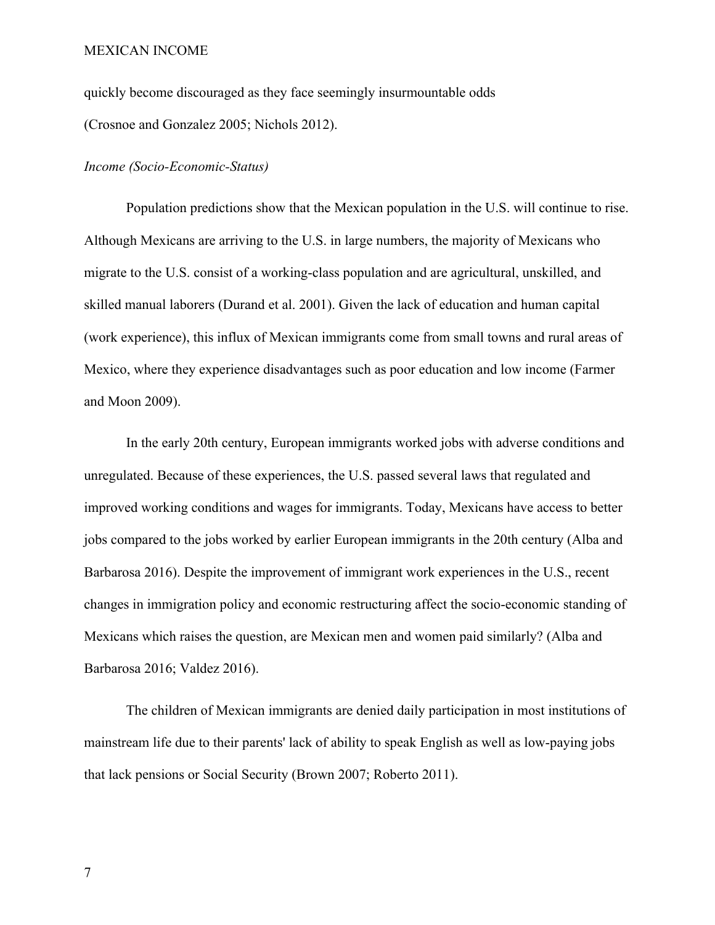quickly become discouraged as they face seemingly insurmountable odds (Crosnoe and Gonzalez 2005; Nichols 2012).

#### *Income (Socio-Economic-Status)*

Population predictions show that the Mexican population in the U.S. will continue to rise. Although Mexicans are arriving to the U.S. in large numbers, the majority of Mexicans who migrate to the U.S. consist of a working-class population and are agricultural, unskilled, and skilled manual laborers (Durand et al. 2001). Given the lack of education and human capital (work experience), this influx of Mexican immigrants come from small towns and rural areas of Mexico, where they experience disadvantages such as poor education and low income (Farmer and Moon 2009).

In the early 20th century, European immigrants worked jobs with adverse conditions and unregulated. Because of these experiences, the U.S. passed several laws that regulated and improved working conditions and wages for immigrants. Today, Mexicans have access to better jobs compared to the jobs worked by earlier European immigrants in the 20th century (Alba and Barbarosa 2016). Despite the improvement of immigrant work experiences in the U.S., recent changes in immigration policy and economic restructuring affect the socio-economic standing of Mexicans which raises the question, are Mexican men and women paid similarly? (Alba and Barbarosa 2016; Valdez 2016).

The children of Mexican immigrants are denied daily participation in most institutions of mainstream life due to their parents' lack of ability to speak English as well as low-paying jobs that lack pensions or Social Security (Brown 2007; Roberto 2011).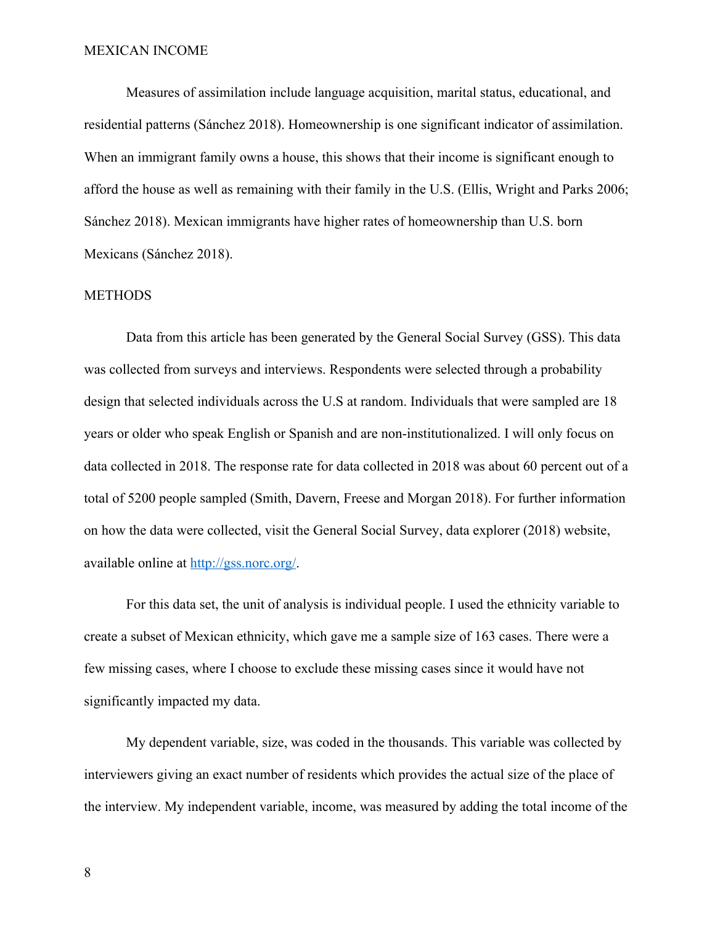Measures of assimilation include language acquisition, marital status, educational, and residential patterns (Sánchez 2018). Homeownership is one significant indicator of assimilation. When an immigrant family owns a house, this shows that their income is significant enough to afford the house as well as remaining with their family in the U.S. (Ellis, Wright and Parks 2006; Sánchez 2018). Mexican immigrants have higher rates of homeownership than U.S. born Mexicans (Sánchez 2018).

#### METHODS

Data from this article has been generated by the General Social Survey (GSS). This data was collected from surveys and interviews. Respondents were selected through a probability design that selected individuals across the U.S at random. Individuals that were sampled are 18 years or older who speak English or Spanish and are non-institutionalized. I will only focus on data collected in 2018. The response rate for data collected in 2018 was about 60 percent out of a total of 5200 people sampled (Smith, Davern, Freese and Morgan 2018). For further information on how the data were collected, visit the General Social Survey, data explorer (2018) website, available online at http://gss.norc.org/.

For this data set, the unit of analysis is individual people. I used the ethnicity variable to create a subset of Mexican ethnicity, which gave me a sample size of 163 cases. There were a few missing cases, where I choose to exclude these missing cases since it would have not significantly impacted my data.

My dependent variable, size, was coded in the thousands. This variable was collected by interviewers giving an exact number of residents which provides the actual size of the place of the interview. My independent variable, income, was measured by adding the total income of the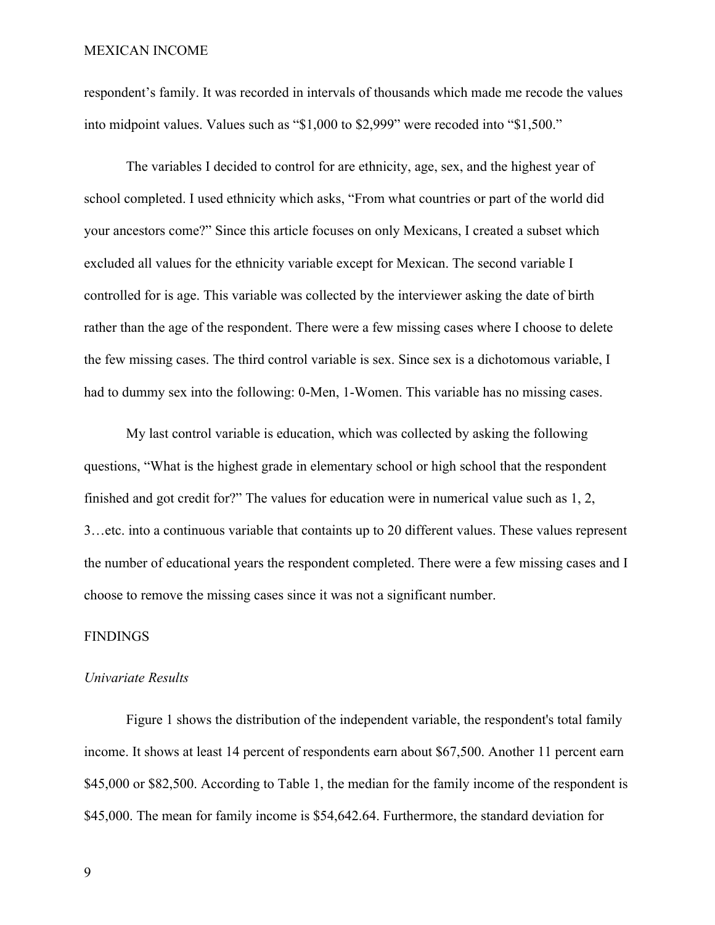respondent's family. It was recorded in intervals of thousands which made me recode the values into midpoint values. Values such as "\$1,000 to \$2,999" were recoded into "\$1,500."

The variables I decided to control for are ethnicity, age, sex, and the highest year of school completed. I used ethnicity which asks, "From what countries or part of the world did your ancestors come?" Since this article focuses on only Mexicans, I created a subset which excluded all values for the ethnicity variable except for Mexican. The second variable I controlled for is age. This variable was collected by the interviewer asking the date of birth rather than the age of the respondent. There were a few missing cases where I choose to delete the few missing cases. The third control variable is sex. Since sex is a dichotomous variable, I had to dummy sex into the following: 0-Men, 1-Women. This variable has no missing cases.

My last control variable is education, which was collected by asking the following questions, "What is the highest grade in elementary school or high school that the respondent finished and got credit for?" The values for education were in numerical value such as 1, 2, 3…etc. into a continuous variable that containts up to 20 different values. These values represent the number of educational years the respondent completed. There were a few missing cases and I choose to remove the missing cases since it was not a significant number.

## FINDINGS

#### *Univariate Results*

Figure 1 shows the distribution of the independent variable, the respondent's total family income. It shows at least 14 percent of respondents earn about \$67,500. Another 11 percent earn \$45,000 or \$82,500. According to Table 1, the median for the family income of the respondent is \$45,000. The mean for family income is \$54,642.64. Furthermore, the standard deviation for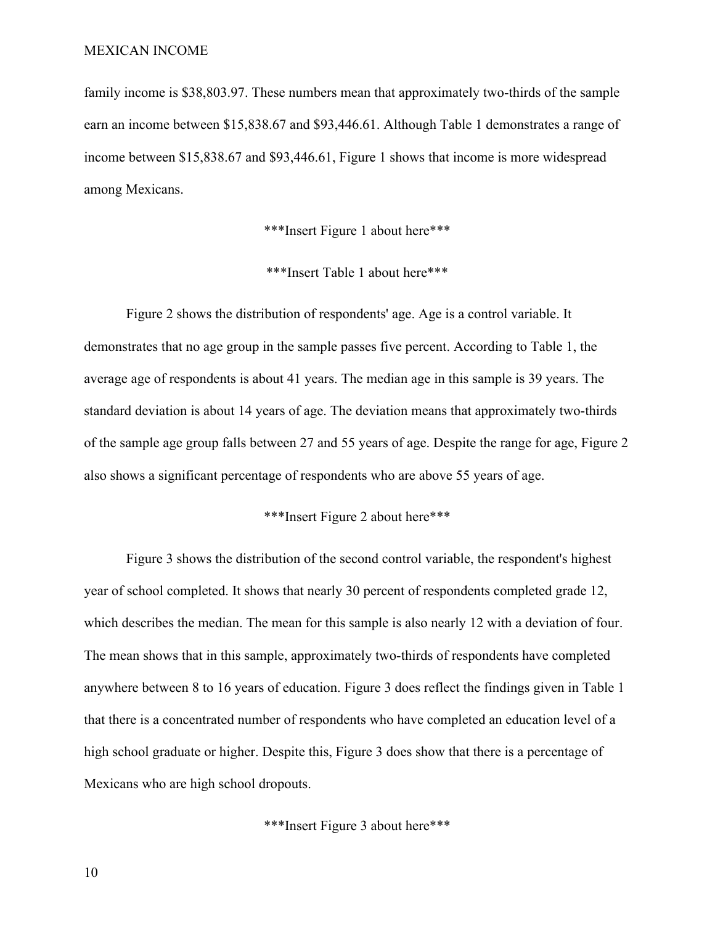family income is \$38,803.97. These numbers mean that approximately two-thirds of the sample earn an income between \$15,838.67 and \$93,446.61. Although Table 1 demonstrates a range of income between \$15,838.67 and \$93,446.61, Figure 1 shows that income is more widespread among Mexicans.

\*\*\*Insert Figure 1 about here\*\*\*

\*\*\*Insert Table 1 about here\*\*\*

Figure 2 shows the distribution of respondents' age. Age is a control variable. It demonstrates that no age group in the sample passes five percent. According to Table 1, the average age of respondents is about 41 years. The median age in this sample is 39 years. The standard deviation is about 14 years of age. The deviation means that approximately two-thirds of the sample age group falls between 27 and 55 years of age. Despite the range for age, Figure 2 also shows a significant percentage of respondents who are above 55 years of age.

# \*\*\*Insert Figure 2 about here\*\*\*

Figure 3 shows the distribution of the second control variable, the respondent's highest year of school completed. It shows that nearly 30 percent of respondents completed grade 12, which describes the median. The mean for this sample is also nearly 12 with a deviation of four. The mean shows that in this sample, approximately two-thirds of respondents have completed anywhere between 8 to 16 years of education. Figure 3 does reflect the findings given in Table 1 that there is a concentrated number of respondents who have completed an education level of a high school graduate or higher. Despite this, Figure 3 does show that there is a percentage of Mexicans who are high school dropouts.

\*\*\*Insert Figure 3 about here\*\*\*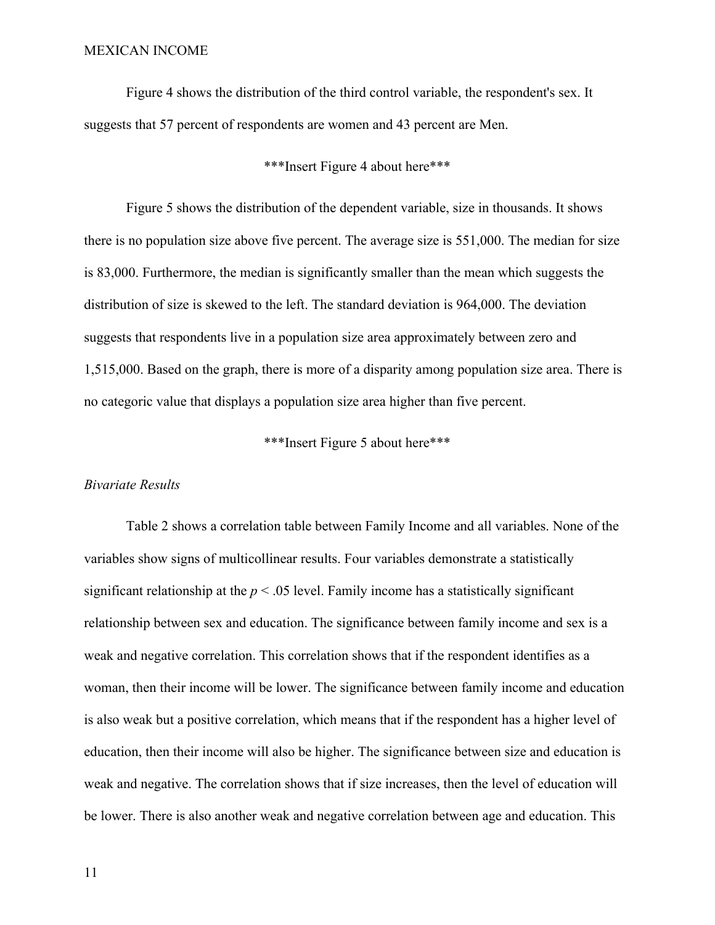Figure 4 shows the distribution of the third control variable, the respondent's sex. It suggests that 57 percent of respondents are women and 43 percent are Men.

# \*\*\*Insert Figure 4 about here\*\*\*

Figure 5 shows the distribution of the dependent variable, size in thousands. It shows there is no population size above five percent. The average size is 551,000. The median for size is 83,000. Furthermore, the median is significantly smaller than the mean which suggests the distribution of size is skewed to the left. The standard deviation is 964,000. The deviation suggests that respondents live in a population size area approximately between zero and 1,515,000. Based on the graph, there is more of a disparity among population size area. There is no categoric value that displays a population size area higher than five percent.

\*\*\*Insert Figure 5 about here\*\*\*

#### *Bivariate Results*

Table 2 shows a correlation table between Family Income and all variables. None of the variables show signs of multicollinear results. Four variables demonstrate a statistically significant relationship at the  $p < .05$  level. Family income has a statistically significant relationship between sex and education. The significance between family income and sex is a weak and negative correlation. This correlation shows that if the respondent identifies as a woman, then their income will be lower. The significance between family income and education is also weak but a positive correlation, which means that if the respondent has a higher level of education, then their income will also be higher. The significance between size and education is weak and negative. The correlation shows that if size increases, then the level of education will be lower. There is also another weak and negative correlation between age and education. This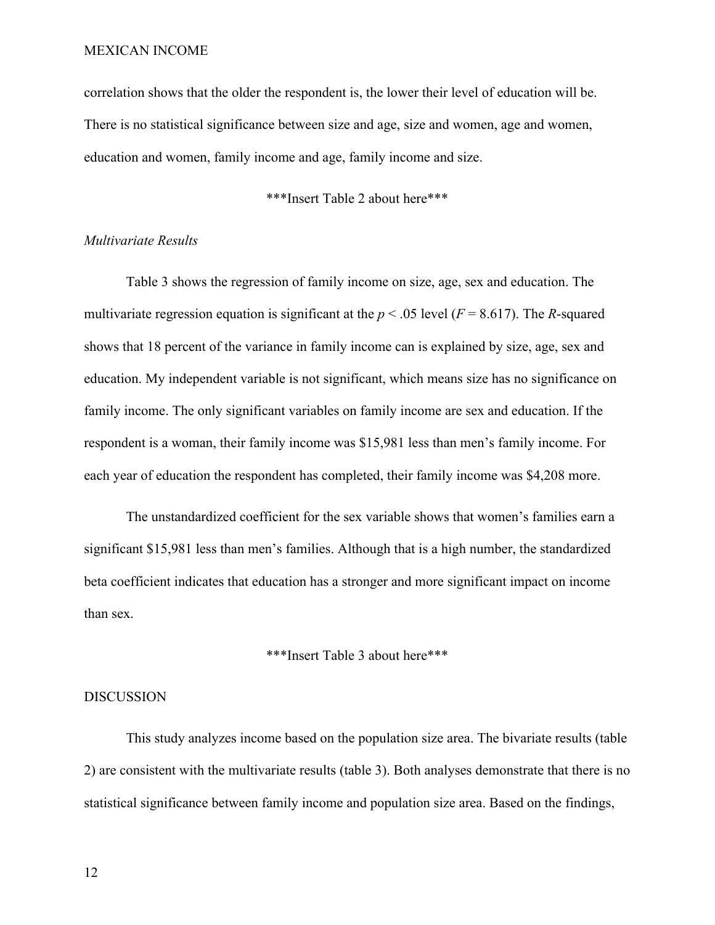correlation shows that the older the respondent is, the lower their level of education will be. There is no statistical significance between size and age, size and women, age and women, education and women, family income and age, family income and size.

\*\*\*Insert Table 2 about here\*\*\*

#### *Multivariate Results*

Table 3 shows the regression of family income on size, age, sex and education. The multivariate regression equation is significant at the  $p < .05$  level ( $F = 8.617$ ). The *R*-squared shows that 18 percent of the variance in family income can is explained by size, age, sex and education. My independent variable is not significant, which means size has no significance on family income. The only significant variables on family income are sex and education. If the respondent is a woman, their family income was \$15,981 less than men's family income. For each year of education the respondent has completed, their family income was \$4,208 more.

The unstandardized coefficient for the sex variable shows that women's families earn a significant \$15,981 less than men's families. Although that is a high number, the standardized beta coefficient indicates that education has a stronger and more significant impact on income than sex.

#### \*\*\*Insert Table 3 about here\*\*\*

#### DISCUSSION

This study analyzes income based on the population size area. The bivariate results (table 2) are consistent with the multivariate results (table 3). Both analyses demonstrate that there is no statistical significance between family income and population size area. Based on the findings,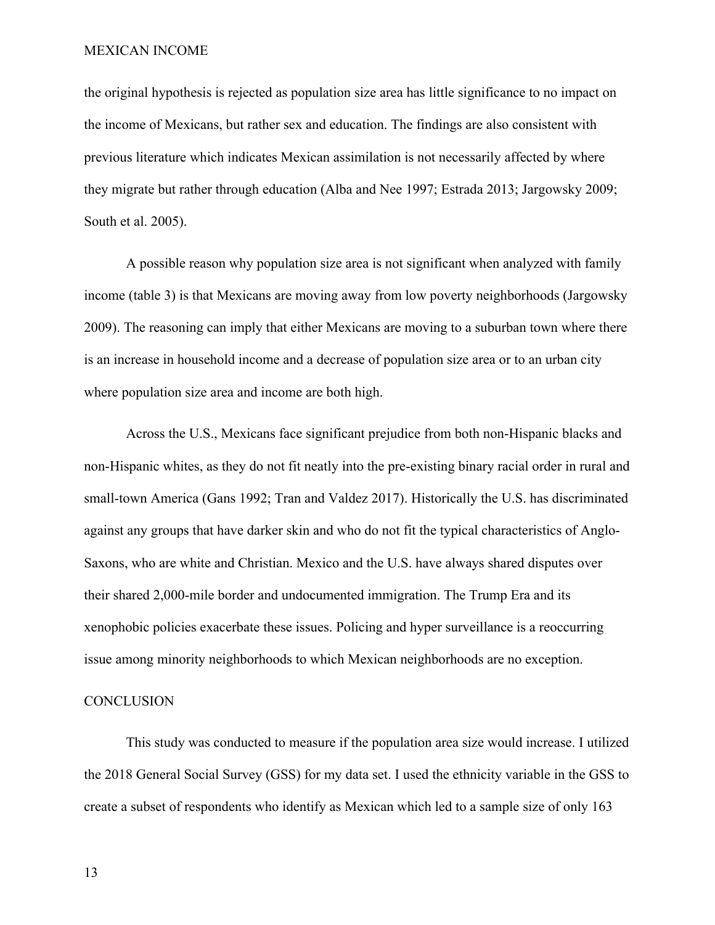the original hypothesis is rejected as population size area has little significance to no impact on the income of Mexicans, but rather sex and education. The findings are also consistent with previous literature which indicates Mexican assimilation is not necessarily affected by where they migrate but rather through education (Alba and Nee 1997; Estrada 2013; Jargowsky 2009; South et al. 2005).

A possible reason why population size area is not significant when analyzed with family income (table 3) is that Mexicans are moving away from low poverty neighborhoods (Jargowsky 2009). The reasoning can imply that either Mexicans are moving to a suburban town where there is an increase in household income and a decrease of population size area or to an urban city where population size area and income are both high.

Across the U.S., Mexicans face significant prejudice from both non-Hispanic blacks and non-Hispanic whites, as they do not fit neatly into the pre-existing binary racial order in rural and small-town America (Gans 1992; Tran and Valdez 2017). Historically the U.S. has discriminated against any groups that have darker skin and who do not fit the typical characteristics of Anglo-Saxons, who are white and Christian. Mexico and the U.S. have always shared disputes over their shared 2,000-mile border and undocumented immigration. The Trump Era and its xenophobic policies exacerbate these issues. Policing and hyper surveillance is a reoccurring issue among minority neighborhoods to which Mexican neighborhoods are no exception.

#### **CONCLUSION**

This study was conducted to measure if the population area size would increase. I utilized the 2018 General Social Survey (GSS) for my data set. I used the ethnicity variable in the GSS to create a subset of respondents who identify as Mexican which led to a sample size of only 163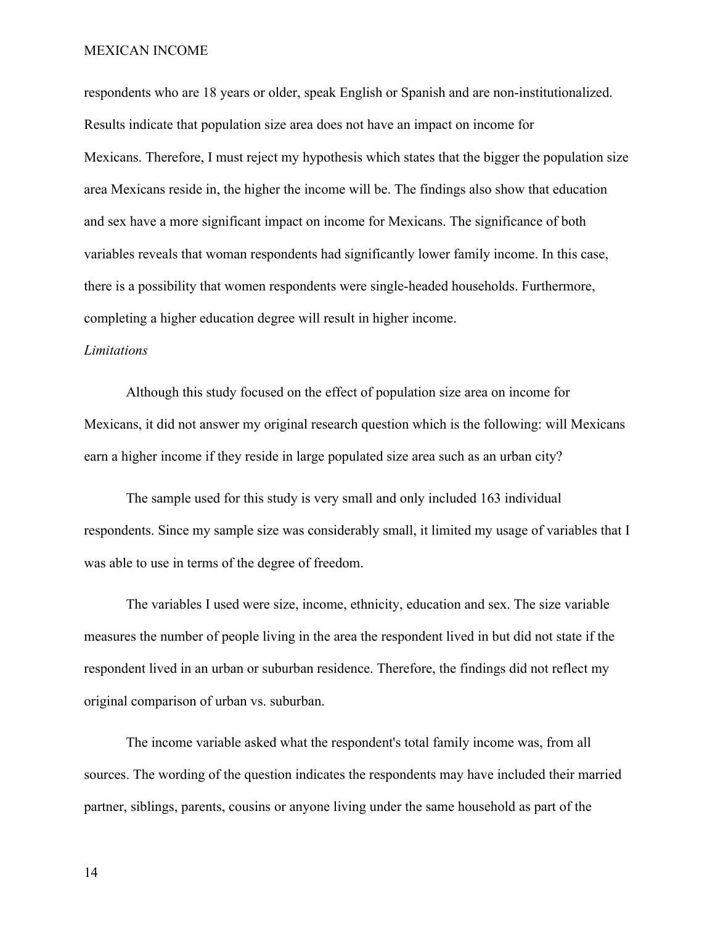respondents who are 18 years or older, speak English or Spanish and are non-institutionalized. Results indicate that population size area does not have an impact on income for Mexicans. Therefore, I must reject my hypothesis which states that the bigger the population size area Mexicans reside in, the higher the income will be. The findings also show that education and sex have a more significant impact on income for Mexicans. The significance of both variables reveals that woman respondents had significantly lower family income. In this case, there is a possibility that women respondents were single-headed households. Furthermore, completing a higher education degree will result in higher income.

#### *Limitations*

Although this study focused on the effect of population size area on income for Mexicans, it did not answer my original research question which is the following: will Mexicans earn a higher income if they reside in large populated size area such as an urban city?

The sample used for this study is very small and only included 163 individual respondents. Since my sample size was considerably small, it limited my usage of variables that I was able to use in terms of the degree of freedom.

The variables I used were size, income, ethnicity, education and sex. The size variable measures the number of people living in the area the respondent lived in but did not state if the respondent lived in an urban or suburban residence. Therefore, the findings did not reflect my original comparison of urban vs. suburban.

The income variable asked what the respondent's total family income was, from all sources. The wording of the question indicates the respondents may have included their married partner, siblings, parents, cousins or anyone living under the same household as part of the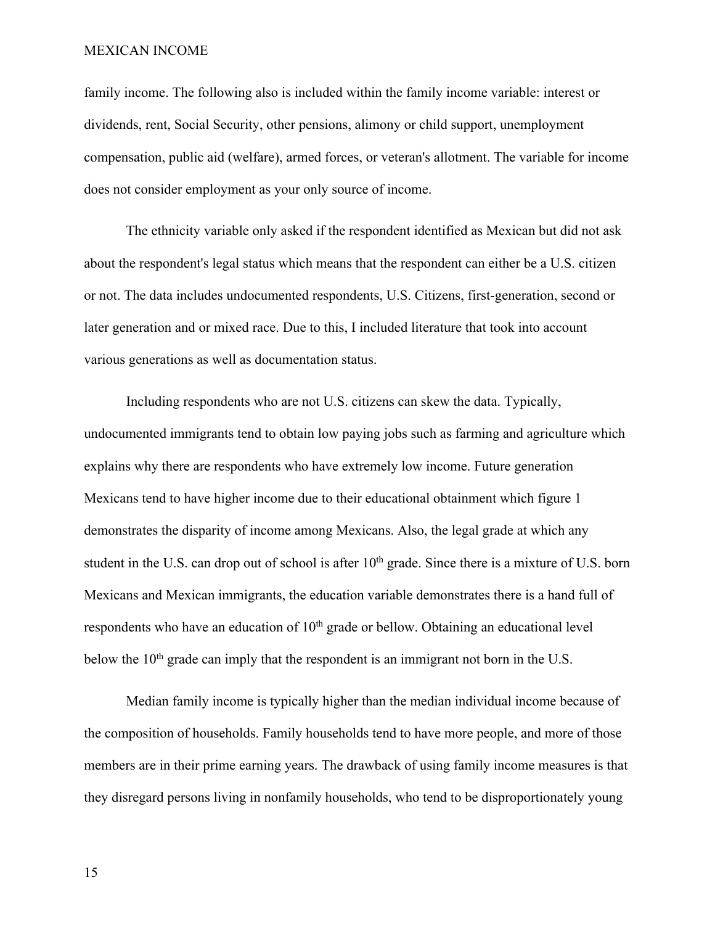family income. The following also is included within the family income variable: interest or dividends, rent, Social Security, other pensions, alimony or child support, unemployment compensation, public aid (welfare), armed forces, or veteran's allotment. The variable for income does not consider employment as your only source of income.

The ethnicity variable only asked if the respondent identified as Mexican but did not ask about the respondent's legal status which means that the respondent can either be a U.S. citizen or not. The data includes undocumented respondents, U.S. Citizens, first-generation, second or later generation and or mixed race. Due to this, I included literature that took into account various generations as well as documentation status.

Including respondents who are not U.S. citizens can skew the data. Typically, undocumented immigrants tend to obtain low paying jobs such as farming and agriculture which explains why there are respondents who have extremely low income. Future generation Mexicans tend to have higher income due to their educational obtainment which figure 1 demonstrates the disparity of income among Mexicans. Also, the legal grade at which any student in the U.S. can drop out of school is after 10<sup>th</sup> grade. Since there is a mixture of U.S. born Mexicans and Mexican immigrants, the education variable demonstrates there is a hand full of respondents who have an education of  $10<sup>th</sup>$  grade or bellow. Obtaining an educational level below the  $10<sup>th</sup>$  grade can imply that the respondent is an immigrant not born in the U.S.

Median family income is typically higher than the median individual income because of the composition of households. Family households tend to have more people, and more of those members are in their prime earning years. The drawback of using family income measures is that they disregard persons living in nonfamily households, who tend to be disproportionately young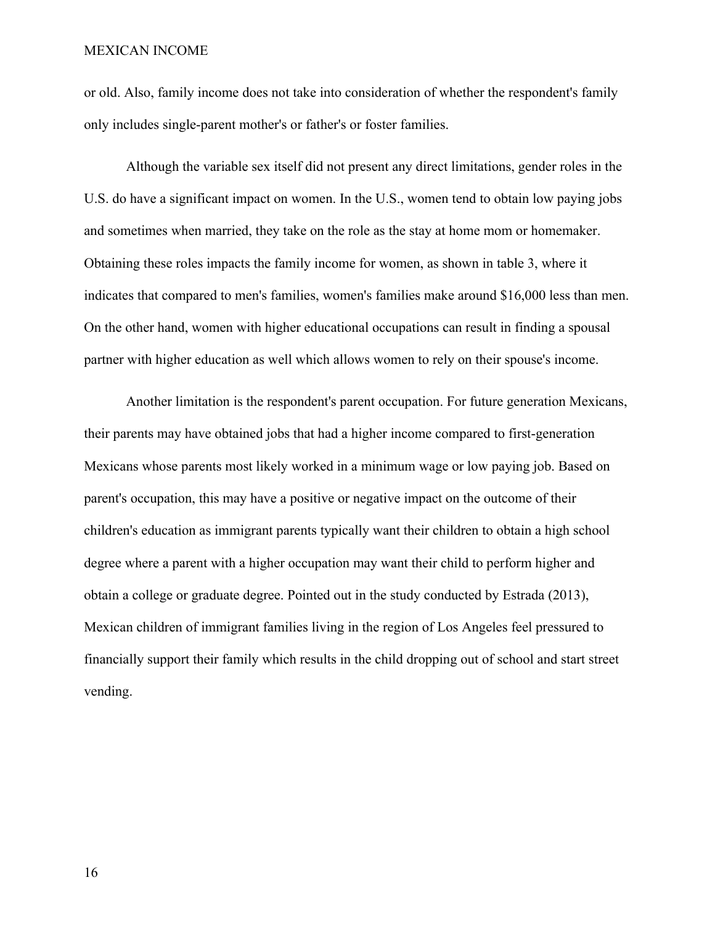or old. Also, family income does not take into consideration of whether the respondent's family only includes single-parent mother's or father's or foster families.

Although the variable sex itself did not present any direct limitations, gender roles in the U.S. do have a significant impact on women. In the U.S., women tend to obtain low paying jobs and sometimes when married, they take on the role as the stay at home mom or homemaker. Obtaining these roles impacts the family income for women, as shown in table 3, where it indicates that compared to men's families, women's families make around \$16,000 less than men. On the other hand, women with higher educational occupations can result in finding a spousal partner with higher education as well which allows women to rely on their spouse's income.

Another limitation is the respondent's parent occupation. For future generation Mexicans, their parents may have obtained jobs that had a higher income compared to first-generation Mexicans whose parents most likely worked in a minimum wage or low paying job. Based on parent's occupation, this may have a positive or negative impact on the outcome of their children's education as immigrant parents typically want their children to obtain a high school degree where a parent with a higher occupation may want their child to perform higher and obtain a college or graduate degree. Pointed out in the study conducted by Estrada (2013), Mexican children of immigrant families living in the region of Los Angeles feel pressured to financially support their family which results in the child dropping out of school and start street vending.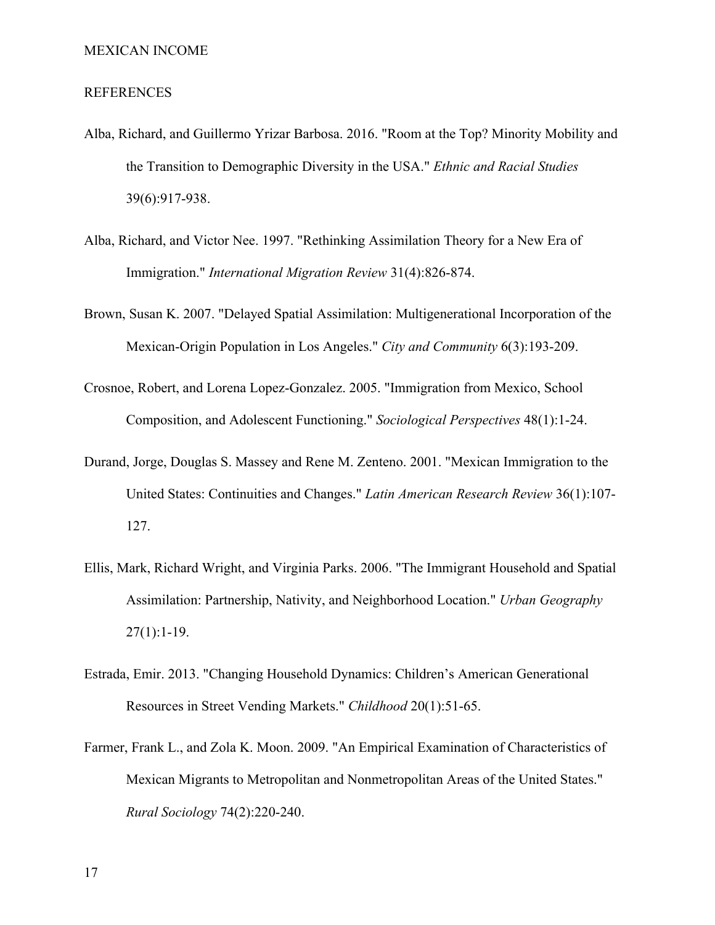#### REFERENCES

- Alba, Richard, and Guillermo Yrizar Barbosa. 2016. "Room at the Top? Minority Mobility and the Transition to Demographic Diversity in the USA." *Ethnic and Racial Studies* 39(6):917-938.
- Alba, Richard, and Victor Nee. 1997. "Rethinking Assimilation Theory for a New Era of Immigration." *International Migration Review* 31(4):826-874.
- Brown, Susan K. 2007. "Delayed Spatial Assimilation: Multigenerational Incorporation of the Mexican-Origin Population in Los Angeles." *City and Community* 6(3):193-209.
- Crosnoe, Robert, and Lorena Lopez-Gonzalez. 2005. "Immigration from Mexico, School Composition, and Adolescent Functioning." *Sociological Perspectives* 48(1):1-24.
- Durand, Jorge, Douglas S. Massey and Rene M. Zenteno. 2001. "Mexican Immigration to the United States: Continuities and Changes." *Latin American Research Review* 36(1):107- 127.
- Ellis, Mark, Richard Wright, and Virginia Parks. 2006. "The Immigrant Household and Spatial Assimilation: Partnership, Nativity, and Neighborhood Location." *Urban Geography*  $27(1):1-19.$
- Estrada, Emir. 2013. "Changing Household Dynamics: Children's American Generational Resources in Street Vending Markets." *Childhood* 20(1):51-65.
- Farmer, Frank L., and Zola K. Moon. 2009. "An Empirical Examination of Characteristics of Mexican Migrants to Metropolitan and Nonmetropolitan Areas of the United States." *Rural Sociology* 74(2):220-240.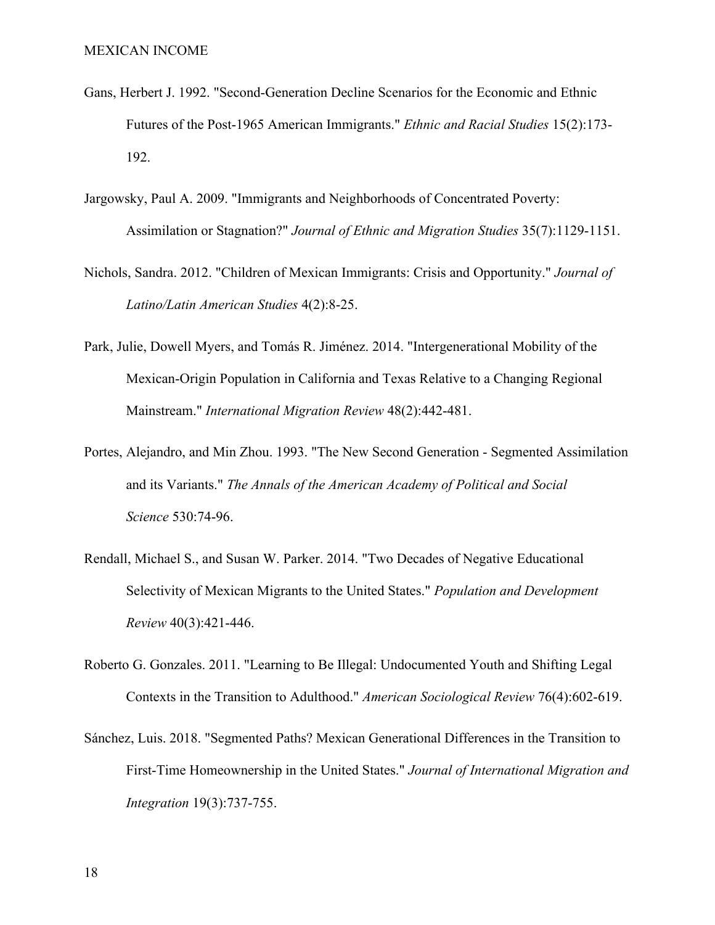- Gans, Herbert J. 1992. "Second‐Generation Decline Scenarios for the Economic and Ethnic Futures of the Post‐1965 American Immigrants." *Ethnic and Racial Studies* 15(2):173- 192.
- Jargowsky, Paul A. 2009. "Immigrants and Neighborhoods of Concentrated Poverty: Assimilation or Stagnation?" *Journal of Ethnic and Migration Studies* 35(7):1129-1151.
- Nichols, Sandra. 2012. "Children of Mexican Immigrants: Crisis and Opportunity." *Journal of Latino/Latin American Studies* 4(2):8-25.
- Park, Julie, Dowell Myers, and Tomás R. Jiménez. 2014. "Intergenerational Mobility of the Mexican‐Origin Population in California and Texas Relative to a Changing Regional Mainstream." *International Migration Review* 48(2):442-481.
- Portes, Alejandro, and Min Zhou. 1993. "The New Second Generation Segmented Assimilation and its Variants." *The Annals of the American Academy of Political and Social Science* 530:74-96.
- Rendall, Michael S., and Susan W. Parker. 2014. "Two Decades of Negative Educational Selectivity of Mexican Migrants to the United States." *Population and Development Review* 40(3):421-446.
- Roberto G. Gonzales. 2011. "Learning to Be Illegal: Undocumented Youth and Shifting Legal Contexts in the Transition to Adulthood." *American Sociological Review* 76(4):602-619.
- Sánchez, Luis. 2018. "Segmented Paths? Mexican Generational Differences in the Transition to First-Time Homeownership in the United States." *Journal of International Migration and Integration* 19(3):737-755.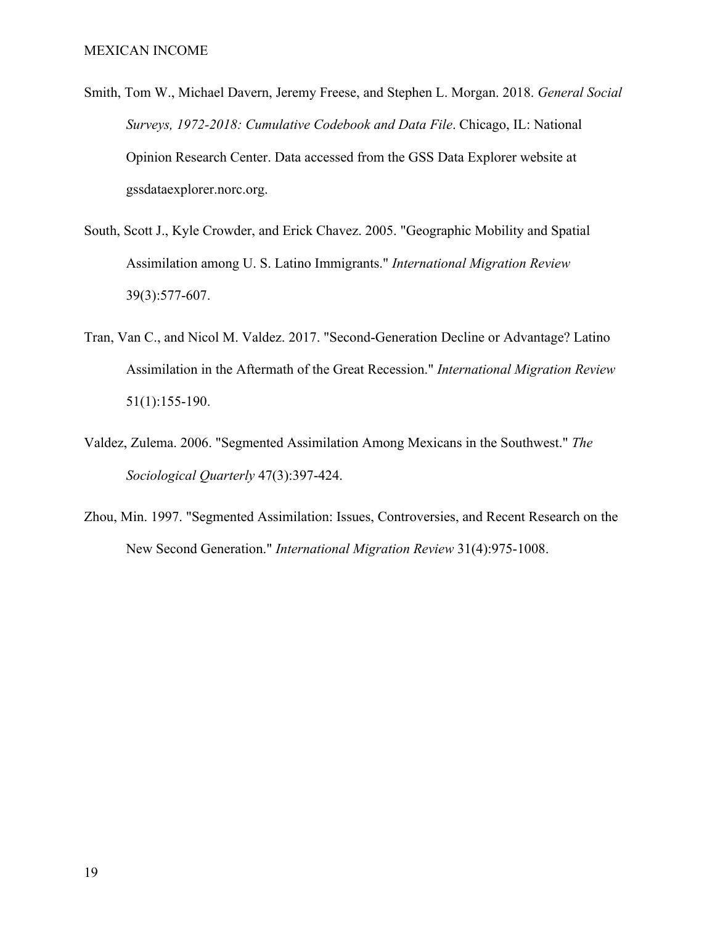- Smith, Tom W., Michael Davern, Jeremy Freese, and Stephen L. Morgan. 2018. *General Social Surveys, 1972-2018: Cumulative Codebook and Data File*. Chicago, IL: National Opinion Research Center. Data accessed from the GSS Data Explorer website at gssdataexplorer.norc.org.
- South, Scott J., Kyle Crowder, and Erick Chavez. 2005. "Geographic Mobility and Spatial Assimilation among U. S. Latino Immigrants." *International Migration Review* 39(3):577-607.
- Tran, Van C., and Nicol M. Valdez. 2017. "Second‐Generation Decline or Advantage? Latino Assimilation in the Aftermath of the Great Recession." *International Migration Review* 51(1):155-190.
- Valdez, Zulema. 2006. "Segmented Assimilation Among Mexicans in the Southwest." *The Sociological Quarterly* 47(3):397-424.
- Zhou, Min. 1997. "Segmented Assimilation: Issues, Controversies, and Recent Research on the New Second Generation." *International Migration Review* 31(4):975-1008.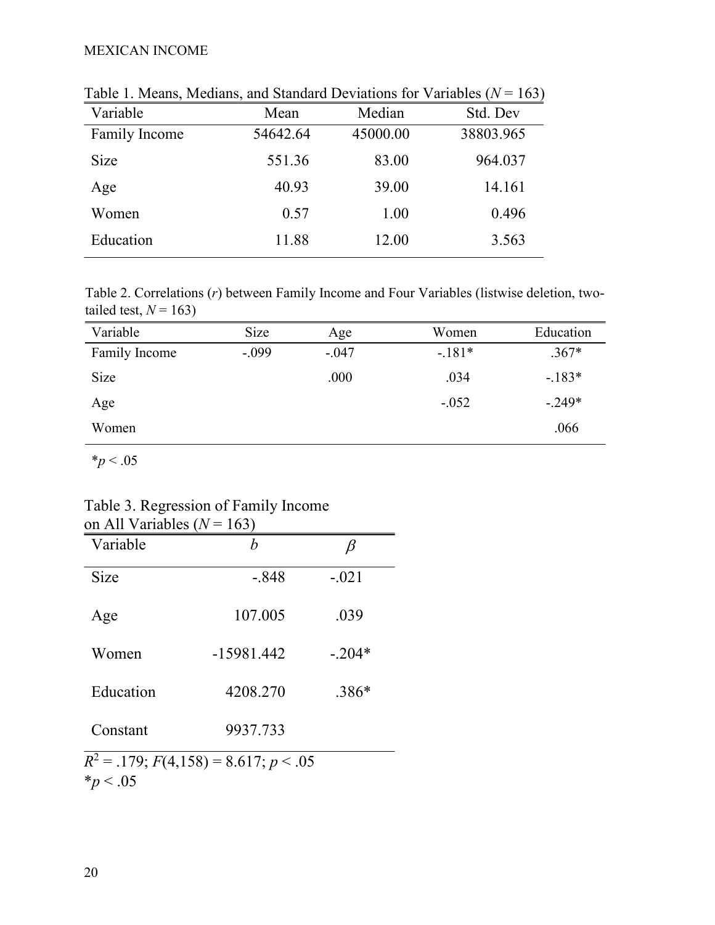| Variable      | Mean     | Median   | Std. Dev  |
|---------------|----------|----------|-----------|
| Family Income | 54642.64 | 45000.00 | 38803.965 |
| <b>Size</b>   | 551.36   | 83.00    | 964.037   |
| Age           | 40.93    | 39.00    | 14.161    |
| Women         | 0.57     | 1.00     | 0.496     |
| Education     | 11.88    | 12.00    | 3.563     |

Table 1. Means, Medians, and Standard Deviations for Variables  $(N = 163)$ 

Table 2. Correlations (*r*) between Family Income and Four Variables (listwise deletion, twotailed test,  $N = 163$ )

| Variable      | Size    | Age     | Women   | Education |
|---------------|---------|---------|---------|-----------|
| Family Income | $-.099$ | $-.047$ | $-181*$ | $.367*$   |
| Size          |         | .000    | .034    | $-183*$   |
| Age           |         |         | $-.052$ | $-.249*$  |
| Women         |         |         |         | .066      |

 $*_{p}$  < .05

| Table 3. Regression of Family Income |  |
|--------------------------------------|--|
| on All Variables ( $N = 163$ )       |  |

| Variable    | h            |          |
|-------------|--------------|----------|
| <b>Size</b> | $-.848$      | $-.021$  |
| Age         | 107.005      | .039     |
| Women       | $-15981.442$ | $-.204*$ |
| Education   | 4208.270     | $.386*$  |
| Constant    | 9937.733     |          |

 $*_{p}$  < .05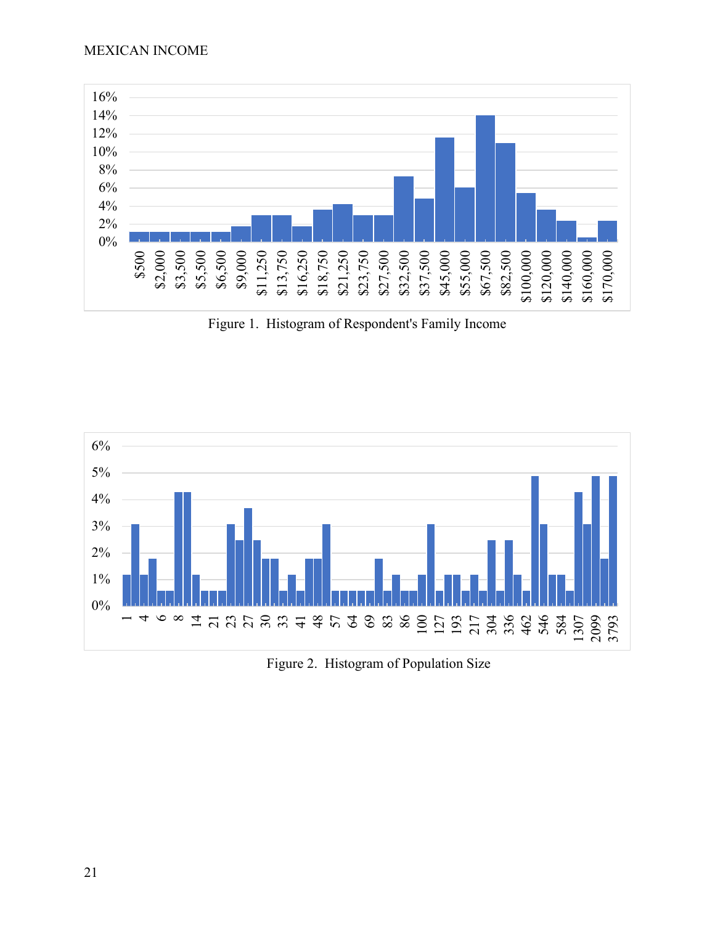

Figure 1. Histogram of Respondent's Family Income



Figure 2. Histogram of Population Size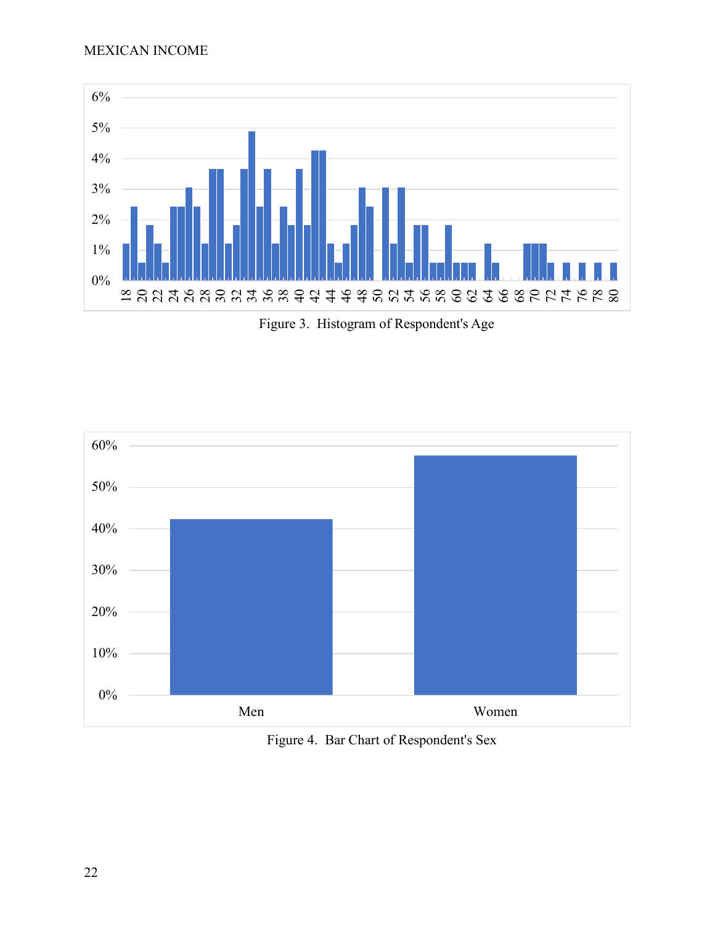

Figure 3. Histogram of Respondent's Age



Figure 4. Bar Chart of Respondent's Sex